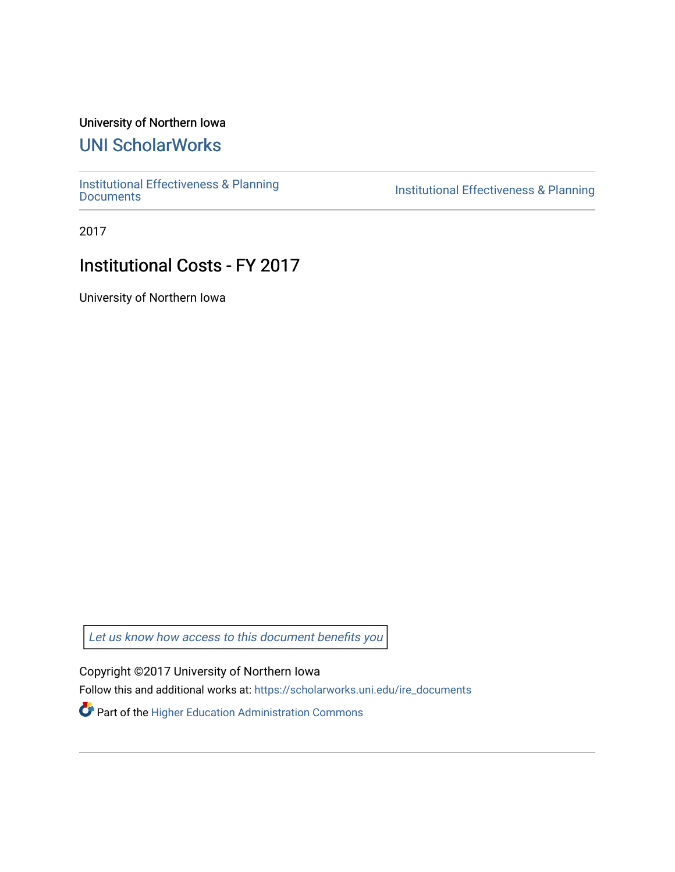## University of Northern Iowa

## [UNI ScholarWorks](https://scholarworks.uni.edu/)

[Institutional Effectiveness & Planning](https://scholarworks.uni.edu/ire_documents)

Institutional Effectiveness & Planning

2017

## Institutional Costs - FY 2017

University of Northern Iowa

[Let us know how access to this document benefits you](https://scholarworks.uni.edu/feedback_form.html) 

Copyright ©2017 University of Northern Iowa

Follow this and additional works at: [https://scholarworks.uni.edu/ire\\_documents](https://scholarworks.uni.edu/ire_documents?utm_source=scholarworks.uni.edu%2Fire_documents%2F247&utm_medium=PDF&utm_campaign=PDFCoverPages) 

Part of the [Higher Education Administration Commons](http://network.bepress.com/hgg/discipline/791?utm_source=scholarworks.uni.edu%2Fire_documents%2F247&utm_medium=PDF&utm_campaign=PDFCoverPages)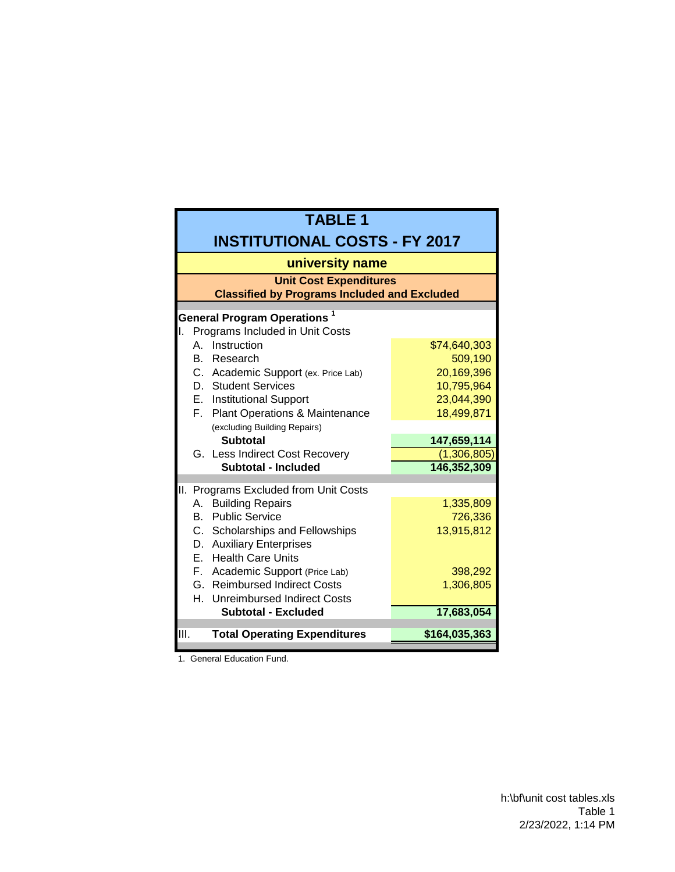| <b>TABLE 1</b>                                                                       |                            |  |  |  |  |
|--------------------------------------------------------------------------------------|----------------------------|--|--|--|--|
| <b>INSTITUTIONAL COSTS - FY 2017</b>                                                 |                            |  |  |  |  |
| university name                                                                      |                            |  |  |  |  |
| <b>Unit Cost Expenditures</b><br><b>Classified by Programs Included and Excluded</b> |                            |  |  |  |  |
| <b>General Program Operations 1</b>                                                  |                            |  |  |  |  |
| Programs Included in Unit Costs<br>Ι.                                                |                            |  |  |  |  |
| Instruction<br>A                                                                     | \$74,640,303               |  |  |  |  |
| B. Research                                                                          | 509,190                    |  |  |  |  |
| C. Academic Support (ex. Price Lab)                                                  | 20,169,396                 |  |  |  |  |
| D. Student Services                                                                  | 10,795,964                 |  |  |  |  |
| E. Institutional Support                                                             | 23,044,390                 |  |  |  |  |
| F. Plant Operations & Maintenance                                                    | 18,499,871                 |  |  |  |  |
| (excluding Building Repairs)                                                         |                            |  |  |  |  |
| <b>Subtotal</b>                                                                      | 147,659,114                |  |  |  |  |
| G. Less Indirect Cost Recovery<br>Subtotal - Included                                | (1,306,805)<br>146,352,309 |  |  |  |  |
|                                                                                      |                            |  |  |  |  |
| II.<br>Programs Excluded from Unit Costs                                             |                            |  |  |  |  |
| <b>Building Repairs</b><br>А.                                                        | 1,335,809                  |  |  |  |  |
| <b>B.</b> Public Service                                                             | 726,336                    |  |  |  |  |
| C. Scholarships and Fellowships                                                      | 13,915,812                 |  |  |  |  |
| D. Auxiliary Enterprises                                                             |                            |  |  |  |  |
| E. Health Care Units                                                                 |                            |  |  |  |  |
| F. Academic Support (Price Lab)                                                      | 398,292                    |  |  |  |  |
| G. Reimbursed Indirect Costs                                                         | 1,306,805                  |  |  |  |  |
| H. Unreimbursed Indirect Costs                                                       |                            |  |  |  |  |
| <b>Subtotal - Excluded</b>                                                           | 17,683,054                 |  |  |  |  |
| III.<br><b>Total Operating Expenditures</b>                                          | \$164,035,363              |  |  |  |  |
|                                                                                      |                            |  |  |  |  |

1. General Education Fund.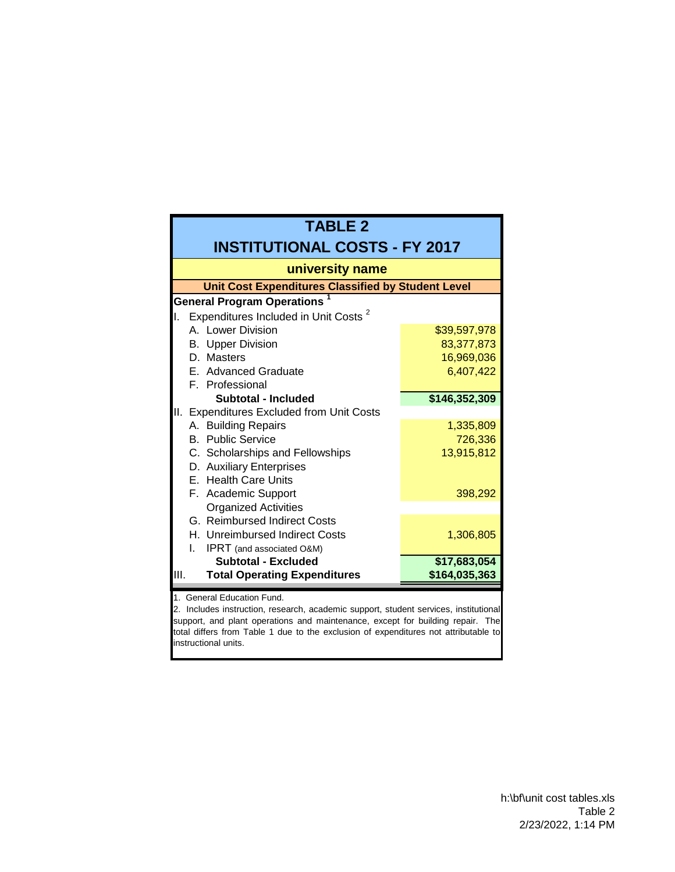| <b>TABLE 2</b>                                                                                                                                                                                                                                                                                                      |               |  |  |  |  |
|---------------------------------------------------------------------------------------------------------------------------------------------------------------------------------------------------------------------------------------------------------------------------------------------------------------------|---------------|--|--|--|--|
| <b>INSTITUTIONAL COSTS - FY 2017</b>                                                                                                                                                                                                                                                                                |               |  |  |  |  |
| university name                                                                                                                                                                                                                                                                                                     |               |  |  |  |  |
| <b>Unit Cost Expenditures Classified by Student Level</b>                                                                                                                                                                                                                                                           |               |  |  |  |  |
| <b>General Program Operations</b>                                                                                                                                                                                                                                                                                   |               |  |  |  |  |
| Expenditures Included in Unit Costs <sup>2</sup><br>II.                                                                                                                                                                                                                                                             |               |  |  |  |  |
| A. Lower Division                                                                                                                                                                                                                                                                                                   | \$39,597,978  |  |  |  |  |
| <b>Upper Division</b><br>В.                                                                                                                                                                                                                                                                                         | 83,377,873    |  |  |  |  |
| D. Masters                                                                                                                                                                                                                                                                                                          | 16,969,036    |  |  |  |  |
| E. Advanced Graduate                                                                                                                                                                                                                                                                                                | 6,407,422     |  |  |  |  |
| F. Professional                                                                                                                                                                                                                                                                                                     |               |  |  |  |  |
| Subtotal - Included                                                                                                                                                                                                                                                                                                 | \$146,352,309 |  |  |  |  |
| <b>Expenditures Excluded from Unit Costs</b><br>Ш.                                                                                                                                                                                                                                                                  |               |  |  |  |  |
| A. Building Repairs                                                                                                                                                                                                                                                                                                 | 1,335,809     |  |  |  |  |
| <b>B.</b> Public Service                                                                                                                                                                                                                                                                                            | 726,336       |  |  |  |  |
| C. Scholarships and Fellowships                                                                                                                                                                                                                                                                                     | 13,915,812    |  |  |  |  |
| D. Auxiliary Enterprises                                                                                                                                                                                                                                                                                            |               |  |  |  |  |
| E. Health Care Units                                                                                                                                                                                                                                                                                                |               |  |  |  |  |
| F. Academic Support                                                                                                                                                                                                                                                                                                 | 398,292       |  |  |  |  |
| <b>Organized Activities</b>                                                                                                                                                                                                                                                                                         |               |  |  |  |  |
| G. Reimbursed Indirect Costs                                                                                                                                                                                                                                                                                        |               |  |  |  |  |
| H. Unreimbursed Indirect Costs                                                                                                                                                                                                                                                                                      | 1,306,805     |  |  |  |  |
| <b>IPRT</b> (and associated O&M)<br>L.                                                                                                                                                                                                                                                                              |               |  |  |  |  |
| <b>Subtotal - Excluded</b>                                                                                                                                                                                                                                                                                          | \$17,683,054  |  |  |  |  |
| <b>Total Operating Expenditures</b><br>III.                                                                                                                                                                                                                                                                         | \$164,035,363 |  |  |  |  |
| 1. General Education Fund.<br>2. Includes instruction, research, academic support, student services, institutional<br>support, and plant operations and maintenance, except for building repair. The<br>total differs from Table 1 due to the exclusion of expenditures not attributable to<br>instructional units. |               |  |  |  |  |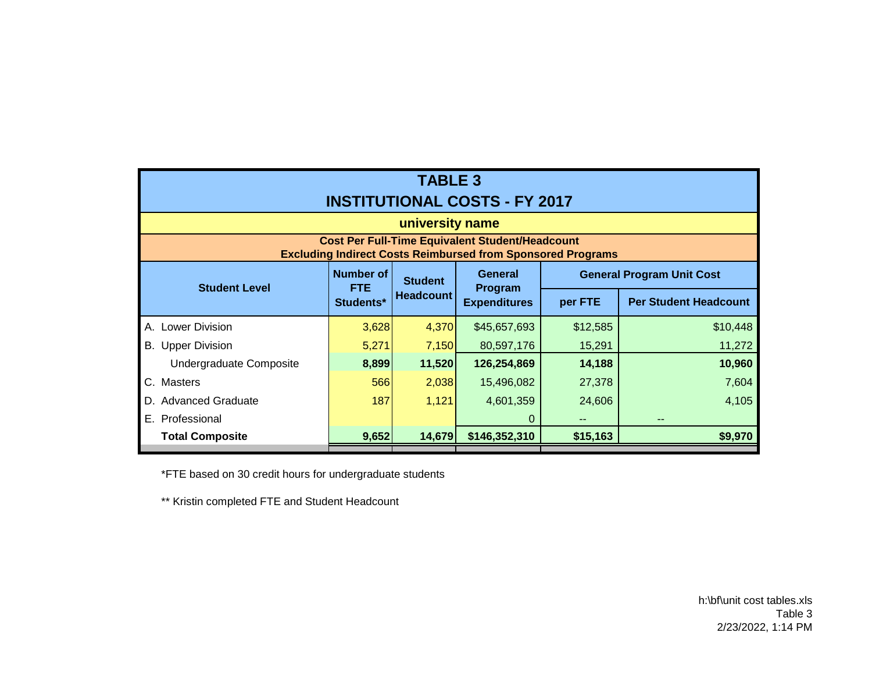| <b>TABLE 3</b><br><b>INSTITUTIONAL COSTS - FY 2017</b>                                                                       |                                      |                                    |                                |          |                              |                                  |  |
|------------------------------------------------------------------------------------------------------------------------------|--------------------------------------|------------------------------------|--------------------------------|----------|------------------------------|----------------------------------|--|
| university name                                                                                                              |                                      |                                    |                                |          |                              |                                  |  |
| <b>Cost Per Full-Time Equivalent Student/Headcount</b><br><b>Excluding Indirect Costs Reimbursed from Sponsored Programs</b> |                                      |                                    |                                |          |                              |                                  |  |
|                                                                                                                              | Number of<br><b>FTE</b><br>Students* | <b>Student</b><br><b>Headcount</b> |                                | General  |                              | <b>General Program Unit Cost</b> |  |
| <b>Student Level</b>                                                                                                         |                                      |                                    | Program<br><b>Expenditures</b> | per FTE  | <b>Per Student Headcount</b> |                                  |  |
| <b>Lower Division</b><br>А.                                                                                                  | 3,628                                | 4,370                              | \$45,657,693                   | \$12,585 | \$10,448                     |                                  |  |
| <b>B.</b> Upper Division                                                                                                     | 5,271                                | 7,150                              | 80,597,176                     | 15,291   | 11,272                       |                                  |  |
| Undergraduate Composite                                                                                                      | 8,899                                | 11,520                             | 126,254,869                    | 14,188   | 10,960                       |                                  |  |
| C. Masters                                                                                                                   | 566                                  | 2,038                              | 15,496,082                     | 27,378   | 7,604                        |                                  |  |
| <b>Advanced Graduate</b><br>D.                                                                                               | 187                                  | 1,121                              | 4,601,359                      | 24,606   | 4,105                        |                                  |  |
| E. Professional                                                                                                              |                                      |                                    | 0                              |          |                              |                                  |  |
| <b>Total Composite</b>                                                                                                       | 9,652                                | 14,679                             | \$146,352,310                  | \$15,163 | \$9,970                      |                                  |  |

\*FTE based on 30 credit hours for undergraduate students

\*\* Kristin completed FTE and Student Headcount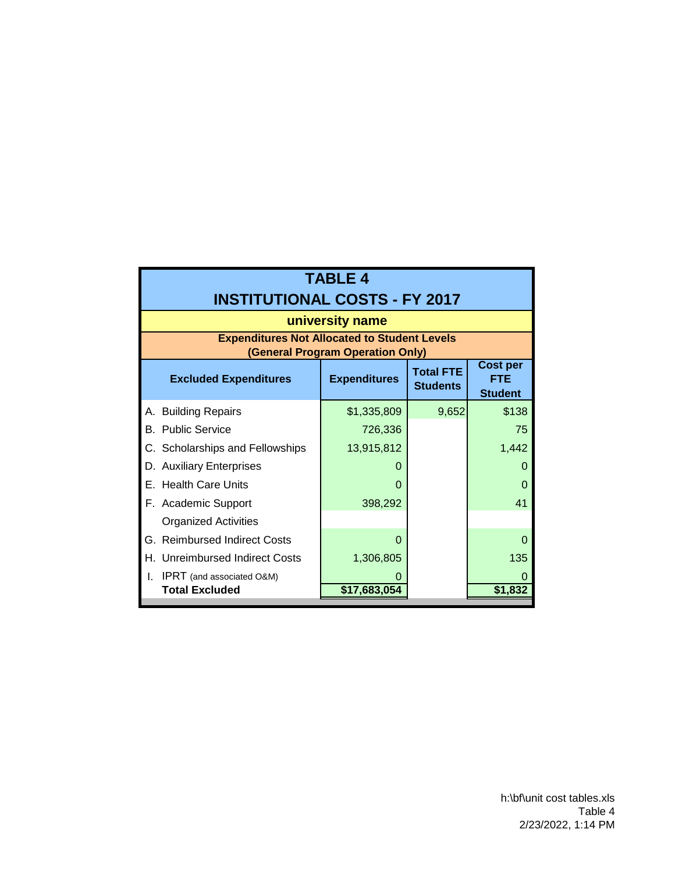|    | <b>TABLE 4</b>                                                                          |                     |                                     |                                                 |  |  |
|----|-----------------------------------------------------------------------------------------|---------------------|-------------------------------------|-------------------------------------------------|--|--|
|    | <b>INSTITUTIONAL COSTS - FY 2017</b>                                                    |                     |                                     |                                                 |  |  |
|    | university name                                                                         |                     |                                     |                                                 |  |  |
|    | <b>Expenditures Not Allocated to Student Levels</b><br>(General Program Operation Only) |                     |                                     |                                                 |  |  |
|    | <b>Excluded Expenditures</b>                                                            | <b>Expenditures</b> | <b>Total FTE</b><br><b>Students</b> | <b>Cost per</b><br><b>FTE</b><br><b>Student</b> |  |  |
|    | A. Building Repairs                                                                     | \$1,335,809         | 9,652                               | \$138                                           |  |  |
|    | <b>B.</b> Public Service                                                                | 726,336             |                                     | 75                                              |  |  |
|    | C. Scholarships and Fellowships                                                         | 13,915,812          |                                     | 1,442                                           |  |  |
|    | D. Auxiliary Enterprises                                                                | $\mathbf{\Omega}$   |                                     |                                                 |  |  |
|    | E. Health Care Units                                                                    | O                   |                                     |                                                 |  |  |
|    | F. Academic Support                                                                     | 398,292             |                                     | 41                                              |  |  |
|    | <b>Organized Activities</b>                                                             |                     |                                     |                                                 |  |  |
| G. | <b>Reimbursed Indirect Costs</b>                                                        | O                   |                                     |                                                 |  |  |
| Н. | <b>Unreimbursed Indirect Costs</b>                                                      | 1,306,805           |                                     | 135                                             |  |  |
| I. | <b>IPRT</b> (and associated O&M)                                                        |                     |                                     |                                                 |  |  |
|    | <b>Total Excluded</b>                                                                   | \$17,683,054        |                                     | \$1,832                                         |  |  |